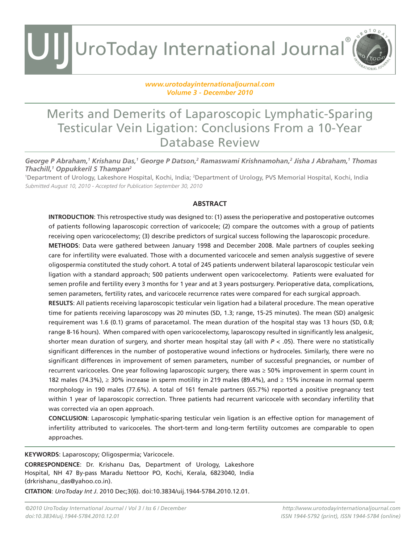UroToday International Journal® UIJ

#### *www.urotodayinternationaljournal.com Volume 3 - December 2010*

### Merits and Demerits of Laparoscopic Lymphatic-Sparing Testicular Vein Ligation: Conclusions From a 10-Year Database Review

George P Abraham,' Krishanu Das,' George P Datson,<sup>2</sup> Ramaswami Krishnamohan,<sup>2</sup> Jisha J Abraham,' Thomas *Thachill,1 Oppukkeril S Thampan2*

'Department of Urology, Lakeshore Hospital, Kochi, India; <sup>2</sup>Department of Urology, PVS Memorial Hospital, Kochi, India Submitted August 10, 2010 - Accepted for Publication September 30, 2010

### **ABSTRACT**

**INTRODUCTION**: This retrospective study was designed to: (1) assess the perioperative and postoperative outcomes of patients following laparoscopic correction of varicocele; (2) compare the outcomes with a group of patients receiving open varicocelectomy; (3) describe predictors of surgical success following the laparoscopic procedure. **METHODS**: Data were gathered between January 1998 and December 2008. Male partners of couples seeking care for infertility were evaluated. Those with a documented varicocele and semen analysis suggestive of severe oligospermia constituted the study cohort. A total of 245 patients underwent bilateral laparoscopic testicular vein ligation with a standard approach; 500 patients underwent open varicocelectomy. Patients were evaluated for semen profile and fertility every 3 months for 1 year and at 3 years postsurgery. Perioperative data, complications, semen parameters, fertility rates, and varicocele recurrence rates were compared for each surgical approach.

**RESULTS**: All patients receiving laparoscopic testicular vein ligation had a bilateral procedure. The mean operative time for patients receiving laparoscopy was 20 minutes (SD, 1.3; range, 15-25 minutes). The mean (SD) analgesic requirement was 1.6 (0.1) grams of paracetamol. The mean duration of the hospital stay was 13 hours (SD, 0.8; range 8-16 hours). When compared with open varicocelectomy, laparoscopy resulted in significantly less analgesic, shorter mean duration of surgery, and shorter mean hospital stay (all with *P* < .05). There were no statistically significant differences in the number of postoperative wound infections or hydroceles. Similarly, there were no significant differences in improvement of semen parameters, number of successful pregnancies, or number of recurrent varicoceles. One year following laparoscopic surgery, there was ≥ 50% improvement in sperm count in 182 males (74.3%), ≥ 30% increase in sperm motility in 219 males (89.4%), and ≥ 15% increase in normal sperm morphology in 190 males (77.6%). A total of 161 female partners (65.7%) reported a positive pregnancy test within 1 year of laparoscopic correction. Three patients had recurrent varicocele with secondary infertility that was corrected via an open approach.

**CONCLUSION**: Laparoscopic lymphatic-sparing testicular vein ligation is an effective option for management of infertility attributed to varicoceles. The short-term and long-term fertility outcomes are comparable to open approaches.

**KEYWORDS**: Laparoscopy; Oligospermia; Varicocele.

**CORRESPONDENCE**: Dr. Krishanu Das, Department of Urology, Lakeshore Hospital, NH 47 By-pass Maradu Nettoor PO, Kochi, Kerala, 6823040, India (drkrishanu\_das@yahoo.co.in).

**CITATION**: *UroToday Int J*. 2010 Dec;3(6). doi:10.3834/uij.1944-5784.2010.12.01.

UROTOD.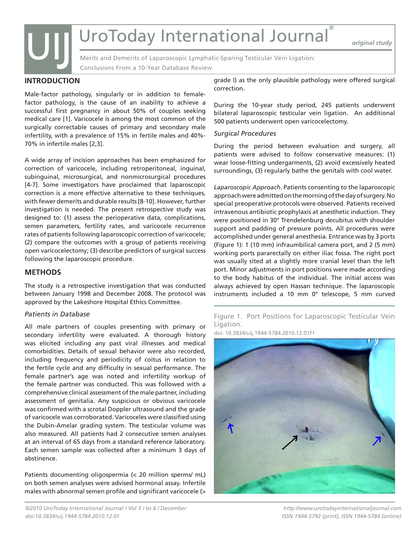## UroToday International Journal®

*original study*

Merits and Demerits of Laparoscopic Lymphatic-Sparing Testicular Vein Ligation: Conclusions From a 10-Year Database Review

# **INTRODUCTION** UIJ

Male-factor pathology, singularly or in addition to femalefactor pathology, is the cause of an inability to achieve a successful first pregnancy in about 50% of couples seeking medical care [1]. Varicocele is among the most common of the surgically correctable causes of primary and secondary male infertility, with a prevalence of 15% in fertile males and 40%- 70% in infertile males [2,3].

A wide array of incision approaches has been emphasized for correction of varicocele, including retroperitoneal, inguinal, subinguinal, microsurgical, and nonmicrosurgical procedures [4-7]. Some investigators have proclaimed that laparoscopic correction is a more effective alternative to these techniques, with fewer demerits and durable results [8-10]. However, further investigation is needed. The present retrospective study was designed to: (1) assess the perioperative data, complications, semen parameters, fertility rates, and varicocele recurrence rates of patients following laparoscopic correction of varicocele; (2) compare the outcomes with a group of patients receiving open varicocelectomy; (3) describe predictors of surgical success following the laparoscopic procedure.

### **METHODS**

The study is a retrospective investigation that was conducted between January 1998 and December 2008. The protocol was approved by the Lakeshore Hospital Ethics Committee.

### *Patients in Database*

All male partners of couples presenting with primary or secondary infertility were evaluated. A thorough history was elicited including any past viral illnesses and medical comorbidities. Details of sexual behavior were also recorded, including frequency and periodicity of coitus in relation to the fertile cycle and any difficulty in sexual performance. The female partner's age was noted and infertility workup of the female partner was conducted. This was followed with a comprehensive clinical assessment of the male partner, including assessment of genitalia. Any suspicious or obvious varicocele was confirmed with a scrotal Doppler ultrasound and the grade of varicocele was corroborated. Varicoceles were classified using the Dubin-Amelar grading system. The testicular volume was also measured. All patients had 2 consecutive semen analyses at an interval of 65 days from a standard reference laboratory. Each semen sample was collected after a minimum 3 days of abstinence.

Patients documenting oligospermia (< 20 million sperms/ mL) on both semen analyses were advised hormonal assay. Infertile males with abnormal semen profile and significant varicocele (>

grade I) as the only plausible pathology were offered surgical correction.

During the 10-year study period, 245 patients underwent bilateral laparoscopic testicular vein ligation. An additional 500 patients underwent open varicocelectomy.

#### *Surgical Procedures*

During the period between evaluation and surgery, all patients were advised to follow conservative measures: (1) wear loose-fitting undergarments, (2) avoid excessively heated surroundings, (3) regularly bathe the genitals with cool water.

*Laparoscopic Approach*. Patients consenting to the laparoscopic approach were admitted on the morning of the day of surgery. No special preoperative protocols were observed. Patients received intravenous antibiotic prophylaxis at anesthetic induction. They were positioned in 30° Trendelenburg decubitus with shoulder support and padding of pressure points. All procedures were accomplished under general anesthesia. Entrance was by 3 ports (Figure 1): 1 (10 mm) infraumbilical camera port, and 2 (5 mm) working ports pararectally on either iliac fossa. The right port was usually sited at a slightly more cranial level than the left port. Minor adjustments in port positions were made according to the body habitus of the individual. The initial access was always achieved by open Hassan technique. The laparoscopic instruments included a 10 mm 0° telescope, 5 mm curved

Figure 1. Port Positions for Laparoscopic Testicular Vein Ligation.

doi: 10.3834/uij.1944-5784.2010.12.01f1



*http://www.urotodayinternationaljournal.com ISSN 1944-5792 (print), ISSN 1944-5784 (online)*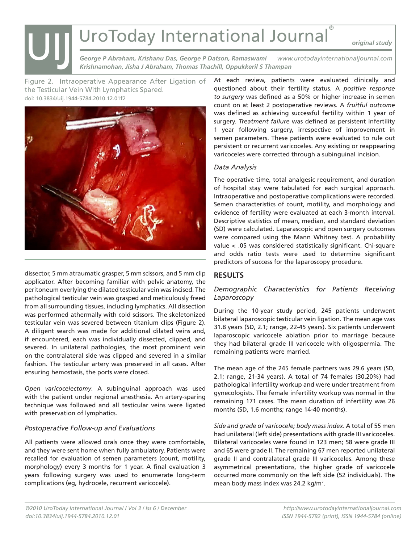### UroToday International Journal

*original study*

*www.urotodayinternationaljournal.com George P Abraham, Krishanu Das, George P Datson, Ramaswami Krishnamohan, Jisha J Abraham, Thomas Thachill, Oppukkeril S Thampan*

Figure 2. Intraoperative Appearance After Ligation of the Testicular Vein With Lymphatics Spared. doi: 10.3834/uij.1944-5784.2010.12.01f2 UIJ



dissector, 5 mm atraumatic grasper, 5 mm scissors, and 5 mm clip applicator. After becoming familiar with pelvic anatomy, the peritoneum overlying the dilated testicular vein was incised. The pathological testicular vein was grasped and meticulously freed from all surrounding tissues, including lymphatics. All dissection was performed athermally with cold scissors. The skeletonized testicular vein was severed between titanium clips (Figure 2). A diligent search was made for additional dilated veins and, if encountered, each was individually dissected, clipped, and severed. In unilateral pathologies, the most prominent vein on the contralateral side was clipped and severed in a similar fashion. The testicular artery was preserved in all cases. After ensuring hemostasis, the ports were closed.

*Open varicocelectomy*. A subinguinal approach was used with the patient under regional anesthesia. An artery-sparing technique was followed and all testicular veins were ligated with preservation of lymphatics.

### *Postoperative Follow-up and Evaluations*

All patients were allowed orals once they were comfortable, and they were sent home when fully ambulatory. Patients were recalled for evaluation of semen parameters (count, motility, morphology) every 3 months for 1 year. A final evaluation 3 years following surgery was used to enumerate long-term complications (eg, hydrocele, recurrent varicocele).

At each review, patients were evaluated clinically and questioned about their fertility status. A *positive response to surgery* was defined as a 50% or higher increase in semen count on at least 2 postoperative reviews. A *fruitful outcome*  was defined as achieving successful fertility within 1 year of surgery. *Treatment failure* was defined as persistent infertility 1 year following surgery, irrespective of improvement in semen parameters. These patients were evaluated to rule out persistent or recurrent varicoceles. Any existing or reappearing varicoceles were corrected through a subinguinal incision.

#### *Data Analysis*

The operative time, total analgesic requirement, and duration of hospital stay were tabulated for each surgical approach. Intraoperative and postoperative complications were recorded. Semen characteristics of count, motility, and morphology and evidence of fertility were evaluated at each 3-month interval. Descriptive statistics of mean, median, and standard deviation (SD) were calculated. Laparascopic and open surgery outcomes were compared using the Mann Whitney test. A probability value < .05 was considered statistically significant. Chi-square and odds ratio tests were used to determine significant predictors of success for the laparoscopy procedure.

### **RESULTS**

#### *Demographic Characteristics for Patients Receiving Laparoscopy*

During the 10-year study period, 245 patients underwent bilateral laparoscopic testicular vein ligation. The mean age was 31.8 years (SD, 2.1; range, 22-45 years). Six patients underwent laparoscopic varicocele ablation prior to marriage because they had bilateral grade III varicocele with oligospermia. The remaining patients were married.

The mean age of the 245 female partners was 29.6 years (SD, 2.1; range, 21-34 years). A total of 74 females (30.20%) had pathological infertility workup and were under treatment from gynecologists. The female infertility workup was normal in the remaining 171 cases. The mean duration of infertility was 26 months (SD, 1.6 months; range 14-40 months).

*Side and grade of varicocele; body mass index*. A total of 55 men had unilateral (left side) presentations with grade III varicoceles. Bilateral varicoceles were found in 123 men; 58 were grade III and 65 were grade II. The remaining 67 men reported unilateral grade II and contralateral grade III varicoceles. Among these asymmetrical presentations, the higher grade of varicocele occurred more commonly on the left side (52 individuals). The mean body mass index was 24.2 kg/m<sup>2</sup>.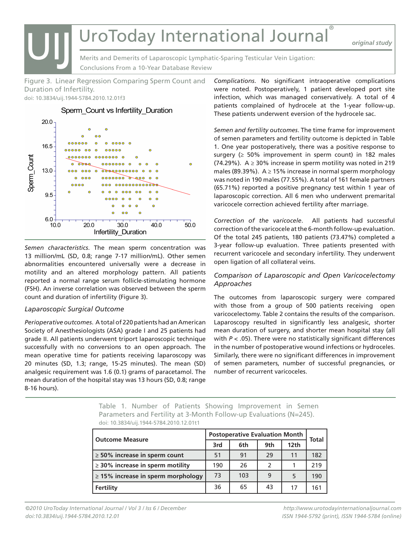## UroToday International Journal®

*original study*

Merits and Demerits of Laparoscopic Lymphatic-Sparing Testicular Vein Ligation: Conclusions From a 10-Year Database Review

Figure 3. Linear Regression Comparing Sperm Count and Duration of Infertility. doi: 10.3834/uij.1944-5784.2010.12.01f3

UIJ



*Semen characteristics*. The mean sperm concentration was 13 million/mL (SD, 0.8; range 7-17 million/mL). Other semen abnormalities encountered universally were a decrease in motility and an altered morphology pattern. All patients reported a normal range serum follicle-stimulating hormone (FSH). An inverse correlation was observed between the sperm count and duration of infertility (Figure 3).

### *Laparoscopic Surgical Outcome*

*Perioperative outcomes*. A total of 220 patients had an American Society of Anesthesiologists (ASA) grade I and 25 patients had grade II. All patients underwent triport laparoscopic technique successfully with no conversions to an open approach. The mean operative time for patients receiving laparoscopy was 20 minutes (SD, 1.3; range, 15-25 minutes). The mean (SD) analgesic requirement was 1.6 (0.1) grams of paracetamol. The mean duration of the hospital stay was 13 hours (SD, 0.8; range 8-16 hours).

*Complications*. No significant intraoperative complications were noted. Postoperatively, 1 patient developed port site infection, which was managed conservatively. A total of 4 patients complained of hydrocele at the 1-year follow-up. These patients underwent eversion of the hydrocele sac.

*Semen and fertility outcomes*. The time frame for improvement of semen parameters and fertility outcome is depicted in Table 1. One year postoperatively, there was a positive response to surgery  $( \geq 50\%$  improvement in sperm count) in 182 males (74.29%). A  $\geq$  30% increase in sperm motility was noted in 219 males (89.39%).  $A \ge 15\%$  increase in normal sperm morphology was noted in 190 males (77.55%). A total of 161 female partners (65.71%) reported a positive pregnancy test within 1 year of laparoscopic correction. All 6 men who underwent premarital varicocele correction achieved fertility after marriage.

*Correction of the varicocele*. All patients had successful correction of the varicocele at the 6-month follow-up evaluation. Of the total 245 patients, 180 patients (73.47%) completed a 3-year follow-up evaluation. Three patients presented with recurrent varicocele and secondary infertility. They underwent open ligation of all collateral veins.

### *Comparison of Laparoscopic and Open Varicocelectomy Approaches*

The outcomes from laparoscopic surgery were compared with those from a group of 500 patients receiving open varicocelectomy. Table 2 contains the results of the comparison. Laparoscopy resulted in significantly less analgesic, shorter mean duration of surgery, and shorter mean hospital stay (all with *P* < .05). There were no statistically significant differences in the number of postoperative wound infections or hydroceles. Similarly, there were no significant differences in improvement of semen parameters, number of successful pregnancies, or number of recurrent varicoceles.

Table 1. Number of Patients Showing Improvement in Semen Parameters and Fertility at 3-Month Follow-up Evaluations (N=245). doi: 10.3834/uij.1944-5784.2010.12.01t1

| <b>Outcome Measure</b>                  | <b>Postoperative Evaluation Month</b> |     |     |                  | Total |
|-----------------------------------------|---------------------------------------|-----|-----|------------------|-------|
|                                         | 3rd                                   | 6th | 9th | 12 <sub>th</sub> |       |
| $\ge$ 50% increase in sperm count       | 51                                    | 91  | 29  | 11               | 182   |
| $\geq$ 30% increase in sperm motility   | 190                                   | 26  |     |                  | 219   |
| $\geq$ 15% increase in sperm morphology | 73                                    | 103 | 9   | 5                | 190   |
| <b>Fertility</b>                        | 36                                    | 65  | 43  | 17               | 161   |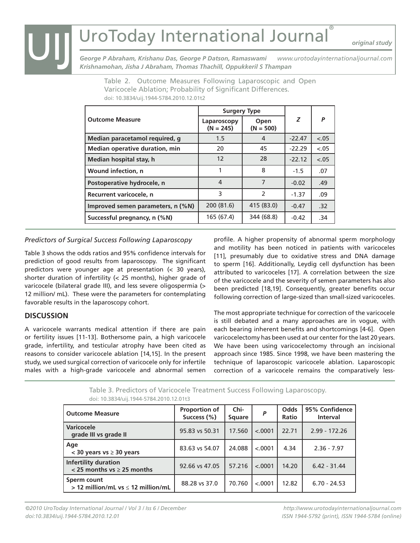### UroToday International Journal

*original study*

*www.urotodayinternationaljournal.com George P Abraham, Krishanu Das, George P Datson, Ramaswami Krishnamohan, Jisha J Abraham, Thomas Thachill, Oppukkeril S Thampan*

|                                   | <b>Surgery Type</b>        |                     |          |        |
|-----------------------------------|----------------------------|---------------------|----------|--------|
| <b>Outcome Measure</b>            | Laparoscopy<br>$(N = 245)$ | Open<br>$(N = 500)$ | Z        | P      |
| Median paracetamol required, q    | 1.5                        | 4                   | $-22.47$ | $-.05$ |
| Median operative duration, min    | 20                         | 45                  | $-22.29$ | $-.05$ |
| Median hospital stay, h           | 12                         | 28                  | $-22.12$ | $-.05$ |
| Wound infection, n                | 1                          | 8                   | $-1.5$   | .07    |
| Postoperative hydrocele, n        | 4                          | 7                   | $-0.02$  | .49    |
| Recurrent varicocele, n           | 3                          | $\mathcal{P}$       | $-1.37$  | .09    |
| Improved semen parameters, n (%N) | 200 (81.6)                 | 415 (83.0)          | $-0.47$  | .32    |
| Successful pregnancy, n (%N)      | 165 (67.4)                 | 344 (68.8)          | $-0.42$  | .34    |
|                                   |                            |                     |          |        |

Table 2. Outcome Measures Following Laparoscopic and Open Varicocele Ablation; Probability of Significant Differences. doi: 10.3834/uij.1944-5784.2010.12.01t2

### *Predictors of Surgical Success Following Laparoscopy*

Table 3 shows the odds ratios and 95% confidence intervals for prediction of good results from laparoscopy. The significant predictors were younger age at presentation (< 30 years), shorter duration of infertility (< 25 months), higher grade of varicocele (bilateral grade III), and less severe oligospermia (> 12 million/ mL). These were the parameters for contemplating favorable results in the laparoscopy cohort.

### **DISCUSSION**

UIJ

A varicocele warrants medical attention if there are pain or fertility issues [11-13]. Bothersome pain, a high varicocele grade, infertility, and testicular atrophy have been cited as reasons to consider varicocele ablation [14,15]. In the present study, we used surgical correction of varicocele only for infertile males with a high-grade varicocele and abnormal semen

profile. A higher propensity of abnormal sperm morphology and motility has been noticed in patients with varicoceles [11], presumably due to oxidative stress and DNA damage to sperm [16]. Additionally, Leydig cell dysfunction has been attributed to varicoceles [17]. A correlation between the size of the varicocele and the severity of semen parameters has also been predicted [18,19]. Consequently, greater benefits occur following correction of large-sized than small-sized varicoceles.

The most appropriate technique for correction of the varicocele is still debated and a many approaches are in vogue, with each bearing inherent benefits and shortcomings [4-6]. Open varicocelectomy has been used at our center for the last 20 years. We have been using varicocelectomy through an incisional approach since 1985. Since 1998, we have been mastering the technique of laparoscopic varicocele ablation. Laparoscopic correction of a varicocele remains the comparatively less-

Table 3. Predictors of Varicocele Treatment Success Following Laparoscopy. doi: 10.3834/uij.1944-5784.2010.12.01t3

| <b>Outcome Measure</b>                                           | Proportion of<br>Success (%) | Chi-<br>Square | P        | <b>Odds</b><br>Ratio | 95% Confidence<br><b>Interval</b> |
|------------------------------------------------------------------|------------------------------|----------------|----------|----------------------|-----------------------------------|
| <b>Varicocele</b><br>grade III vs grade II                       | 95.83 vs 50.31               | 17.560         | < .0001  | 22.71                | $2.99 - 172.26$                   |
| Age<br>$<$ 30 years vs $\geq$ 30 years                           | 83.63 vs 54.07               | 24.088         | < .0001  | 4.34                 | $2.36 - 7.97$                     |
| <b>Infertility duration</b><br>$<$ 25 months vs $\geq$ 25 months | 92.66 vs 47.05               | 57.216         | < .0001  | 14.20                | $6.42 - 31.44$                    |
| Sperm count<br>$>$ 12 million/mL vs $\leq$ 12 million/mL         | 88.28 vs 37.0                | 70.760         | $-.0001$ | 12.82                | $6.70 - 24.53$                    |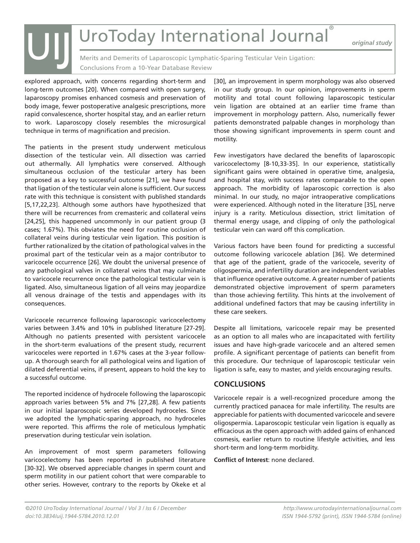## UroToday International Journal® UIJ

*original study*

Merits and Demerits of Laparoscopic Lymphatic-Sparing Testicular Vein Ligation: Conclusions From a 10-Year Database Review

explored approach, with concerns regarding short-term and long-term outcomes [20]. When compared with open surgery, laparoscopy promises enhanced cosmesis and preservation of body image, fewer postoperative analgesic prescriptions, more rapid convalescence, shorter hospital stay, and an earlier return to work. Laparoscopy closely resembles the microsurgical technique in terms of magnification and precision.

The patients in the present study underwent meticulous dissection of the testicular vein. All dissection was carried out athermally. All lymphatics were conserved. Although simultaneous occlusion of the testicular artery has been proposed as a key to successful outcome [21], we have found that ligation of the testicular vein alone is sufficient. Our success rate with this technique is consistent with published standards [5,17,22,23]. Although some authors have hypothesized that there will be recurrences from cremasteric and collateral veins [24,25], this happened uncommonly in our patient group (3 cases; 1.67%). This obviates the need for routine occlusion of collateral veins during testicular vein ligation. This position is further rationalized by the citation of pathological valves in the proximal part of the testicular vein as a major contributor to varicocele occurrence [26]. We doubt the universal presence of any pathological valves in collateral veins that may culminate to varicocele recurrence once the pathological testicular vein is ligated. Also, simultaneous ligation of all veins may jeopardize all venous drainage of the testis and appendages with its consequences.

Varicocele recurrence following laparoscopic varicocelectomy varies between 3.4% and 10% in published literature [27-29]. Although no patients presented with persistent varicocele in the short-term evaluations of the present study, recurrent varicoceles were reported in 1.67% cases at the 3-year followup. A thorough search for all pathological veins and ligation of dilated deferential veins, if present, appears to hold the key to a successful outcome.

The reported incidence of hydrocele following the laparoscopic approach varies between 5% and 7% [27,28]. A few patients in our initial laparoscopic series developed hydroceles. Since we adopted the lymphatic-sparing approach, no hydroceles were reported. This affirms the role of meticulous lymphatic preservation during testicular vein isolation.

An improvement of most sperm parameters following varicocelectomy has been reported in published literature [30-32]. We observed appreciable changes in sperm count and sperm motility in our patient cohort that were comparable to other series. However, contrary to the reports by Okeke et al [30], an improvement in sperm morphology was also observed in our study group. In our opinion, improvements in sperm motility and total count following laparoscopic testicular vein ligation are obtained at an earlier time frame than improvement in morphology pattern. Also, numerically fewer patients demonstrated palpable changes in morphology than those showing significant improvements in sperm count and motility.

Few investigators have declared the benefits of laparoscopic varicocelectomy [8-10,33-35]. In our experience, statistically significant gains were obtained in operative time, analgesia, and hospital stay, with success rates comparable to the open approach. The morbidity of laparoscopic correction is also minimal. In our study, no major intraoperative complications were experienced. Although noted in the literature [35], nerve injury is a rarity. Meticulous dissection, strict limitation of thermal energy usage, and clipping of only the pathological testicular vein can ward off this complication.

Various factors have been found for predicting a successful outcome following varicocele ablation [36]. We determined that age of the patient, grade of the varicocele, severity of oligospermia, and infertility duration are independent variables that influence operative outcome. A greater number of patients demonstrated objective improvement of sperm parameters than those achieving fertility. This hints at the involvement of additional undefined factors that may be causing infertility in these care seekers.

Despite all limitations, varicocele repair may be presented as an option to all males who are incapacitated with fertility issues and have high-grade varicocele and an altered semen profile. A significant percentage of patients can benefit from this procedure. Our technique of laparoscopic testicular vein ligation is safe, easy to master, and yields encouraging results.

### **CONCLUSIONS**

Varicocele repair is a well-recognized procedure among the currently practiced panacea for male infertility. The results are appreciable for patients with documented varicocele and severe oligospermia. Laparoscopic testicular vein ligation is equally as efficacious as the open approach with added gains of enhanced cosmesis, earlier return to routine lifestyle activities, and less short-term and long-term morbidity.

**Conflict of Interest**: none declared.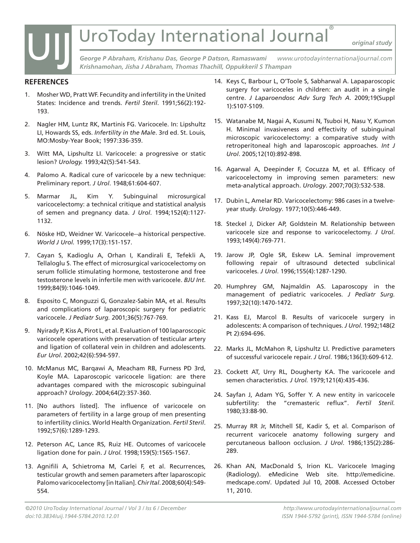### UroToday International Journal

*original study*

*www.urotodayinternationaljournal.com George P Abraham, Krishanu Das, George P Datson, Ramaswami Krishnamohan, Jisha J Abraham, Thomas Thachill, Oppukkeril S Thampan*

#### **REFERENCES**

UIJ

- 1. Mosher WD, Pratt WF. Fecundity and infertility in the United States: Incidence and trends. *Fertil Steril*. 1991;56(2):192- 193.
- 2. Nagler HM, Luntz RK, Martinis FG. Varicocele. In: Lipshultz LI, Howards SS, eds. *Infertility in the Male*. 3rd ed. St. Louis, MO:Mosby-Year Book; 1997:336-359.
- 3. Witt MA, Lipshultz LI. Varicocele: a progressive or static lesion? *Urology.* 1993;42(5):541-543.
- 4. Palomo A. Radical cure of varicocele by a new technique: Preliminary report. *J Urol*. 1948;61:604-607.
- 5. Marmar JL, Kim Y. Subinguinal microsurgical varicocelectomy: a technical critique and statistical analysis of semen and pregnancy data. *J Urol*. 1994;152(4):1127- 1132.
- 6. Nöske HD, Weidner W. Varicocele--a historical perspective. *World J Urol.* 1999;17(3):151-157.
- 7. Cayan S, Kadioglu A, Orhan I, Kandirali E, Tefekli A, Tellaloglu S. The effect of microsurgical varicocelectomy on serum follicle stimulating hormone, testosterone and free testosterone levels in infertile men with varicocele. *BJU Int*. 1999;84(9):1046-1049.
- 8. Esposito C, Monguzzi G, Gonzalez-Sabin MA, et al. Results and complications of laparoscopic surgery for pediatric varicocele. *J Pediatr Surg.* 2001;36(5):767-769.
- 9. Nyirady P, Kiss A, Pirot L, et al. Evaluation of 100 laparoscopic varicocele operations with preservation of testicular artery and ligation of collateral vein in children and adolescents. *Eur Urol*. 2002;42(6):594-597.
- 10. McManus MC, Barqawi A, Meacham RB, Furness PD 3rd, Koyle MA. Laparoscopic varicocele ligation: are there advantages compared with the microscopic subinguinal approach? *Urology*. 2004;64(2):357-360.
- 11. [No authors listed]. The influence of varicocele on parameters of fertility in a large group of men presenting to infertility clinics. World Health Organization. *Fertil Steril*. 1992;57(6):1289-1293.
- 12. Peterson AC, Lance RS, Ruiz HE. Outcomes of varicocele ligation done for pain. *J Urol.* 1998;159(5):1565-1567.
- 13. Agnifili A, Schietroma M, Carlei F, et al. Recurrences, testicular growth and semen parameters after laparoscopic Palomo varicocelectomy [in Italian]. *Chir Ital*. 2008;60(4):549- 554.
- 14. Keys C, Barbour L, O'Toole S, Sabharwal A. Lapaparoscopic surgery for varicoceles in children: an audit in a single centre. *J Laparoendosc Adv Surg Tech A*. 2009;19(Suppl 1):S107-S109.
- 15. Watanabe M, Nagai A, Kusumi N, Tsuboi H, Nasu Y, Kumon H. Minimal invasiveness and effectivity of subinguinal microscopic varicocelectomy: a comparative study with retroperitoneal high and laparoscopic approaches. *Int J Urol*. 2005;12(10):892-898.
- 16. Agarwal A, Deepinder F, Cocuzza M, et al. Efficacy of varicocelectomy in improving semen parameters: new meta-analytical approach. *Urology*. 2007;70(3):532-538.
- 17. Dubin L, Amelar RD. Varicocelectomy: 986 cases in a twelveyear study. *Urology*. 1977;10(5):446-449.
- 18. Steckel J, Dicker AP, Goldstein M. Relationship between varicocele size and response to varicocelectomy. *J Urol*. 1993;149(4):769-771.
- 19. Jarow JP, Ogle SR, Eskew LA. Seminal improvement following repair of ultrasound detected subclinical varicoceles. *J Urol*. 1996;155(4):1287-1290.
- 20. Humphrey GM, Najmaldin AS. Laparoscopy in the management of pediatric varicoceles. *J Pediatr Surg.*  1997;32(10):1470-1472.
- 21. Kass EJ, Marcol B. Results of varicocele surgery in adolescents: A comparison of techniques. *J Urol*. 1992;148(2 Pt 2):694-696.
- 22. Marks JL, McMahon R, Lipshultz LI. Predictive parameters of successful varicocele repair. *J Urol*. 1986;136(3):609-612.
- 23. Cockett AT, Urry RL, Dougherty KA. The varicocele and semen characteristics. *J Urol.* 1979;121(4):435-436.
- 24. Sayfan J, Adam YG, Soffer Y. A new entity in varicocele subfertility: the "cremasteric reflux". *Fertil Steril.*  1980;33:88-90.
- 25. Murray RR Jr, Mitchell SE, Kadir S, et al. Comparison of recurrent varicocele anatomy following surgery and percutaneous balloon occlusion. *J Urol*. 1986;135(2):286- 289.
- 26. Khan AN, MacDonald S, Irion KL. Varicocele Imaging (Radiology). eMedicine Web site. http://emedicine. medscape.com/. Updated Jul 10, 2008. Accessed October 11, 2010.